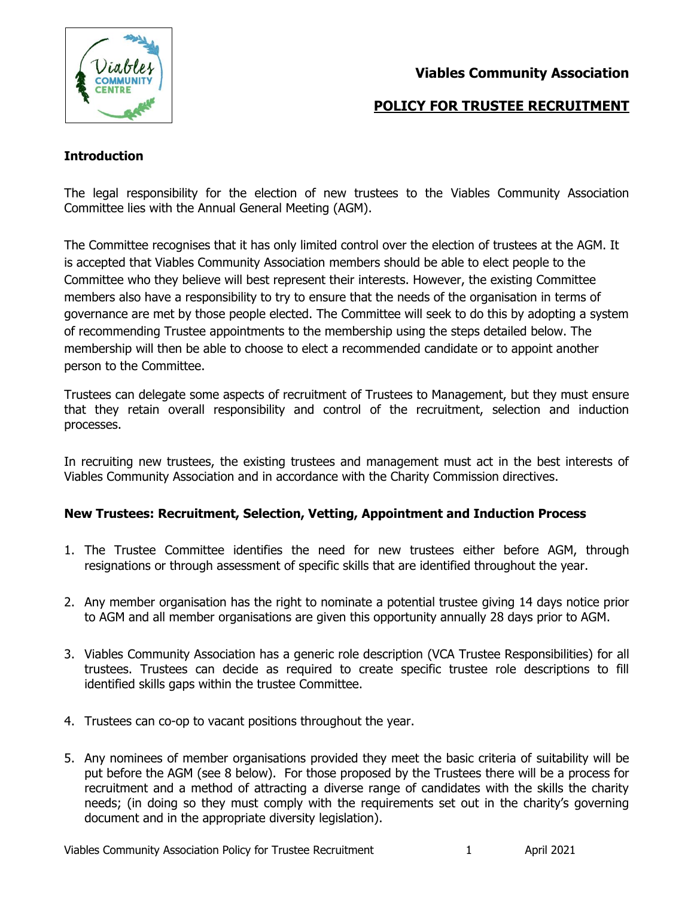

# **Viables Community Association**

# **POLICY FOR TRUSTEE RECRUITMENT**

## **Introduction**

The legal responsibility for the election of new trustees to the Viables Community Association Committee lies with the Annual General Meeting (AGM).

The Committee recognises that it has only limited control over the election of trustees at the AGM. It is accepted that Viables Community Association members should be able to elect people to the Committee who they believe will best represent their interests. However, the existing Committee members also have a responsibility to try to ensure that the needs of the organisation in terms of governance are met by those people elected. The Committee will seek to do this by adopting a system of recommending Trustee appointments to the membership using the steps detailed below. The membership will then be able to choose to elect a recommended candidate or to appoint another person to the Committee.

Trustees can delegate some aspects of recruitment of Trustees to Management, but they must ensure that they retain overall responsibility and control of the recruitment, selection and induction processes.

In recruiting new trustees, the existing trustees and management must act in the best interests of Viables Community Association and in accordance with the Charity Commission directives.

### **New Trustees: Recruitment, Selection, Vetting, Appointment and Induction Process**

- 1. The Trustee Committee identifies the need for new trustees either before AGM, through resignations or through assessment of specific skills that are identified throughout the year.
- 2. Any member organisation has the right to nominate a potential trustee giving 14 days notice prior to AGM and all member organisations are given this opportunity annually 28 days prior to AGM.
- 3. Viables Community Association has a generic role description (VCA Trustee Responsibilities) for all trustees. Trustees can decide as required to create specific trustee role descriptions to fill identified skills gaps within the trustee Committee.
- 4. Trustees can co-op to vacant positions throughout the year.
- 5. Any nominees of member organisations provided they meet the basic criteria of suitability will be put before the AGM (see 8 below). For those proposed by the Trustees there will be a process for recruitment and a method of attracting a diverse range of candidates with the skills the charity needs; (in doing so they must comply with the requirements set out in the charity's governing document and in the appropriate diversity legislation).